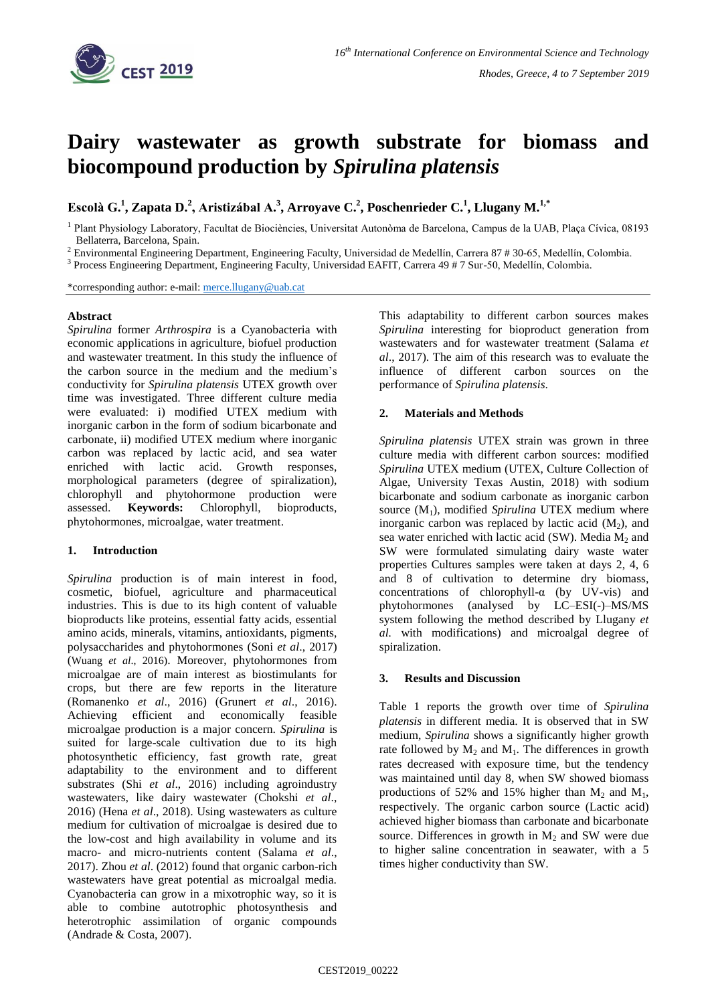

# **Dairy wastewater as growth substrate for biomass and biocompound production by** *Spirulina platensis*

**Escolà G.<sup>1</sup> , Zapata D.<sup>2</sup> , Aristizábal A.<sup>3</sup> , Arroyave C.<sup>2</sup> , Poschenrieder C.<sup>1</sup> , Llugany M.1,\***

1 Plant Physiology Laboratory, Facultat de Biociències, Universitat Autonòma de Barcelona, Campus de la UAB, Plaça Cívica, 08193 Bellaterra, Barcelona, Spain.

<sup>2</sup> Environmental Engineering Department, Engineering Faculty, Universidad de Medellín, Carrera 87 # 30-65, Medellín, Colombia.

<sup>3</sup> Process Engineering Department, Engineering Faculty, Universidad EAFIT, Carrera 49 # 7 Sur-50, Medellín, Colombia.

\*corresponding author: e-mail: [merce.llugany@uab.cat](mailto:merce.llugany@uab.cat)

#### **Abstract**

*Spirulina* former *Arthrospira* is a Cyanobacteria with economic applications in agriculture, biofuel production and wastewater treatment. In this study the influence of the carbon source in the medium and the medium's conductivity for *Spirulina platensis* UTEX growth over time was investigated. Three different culture media were evaluated: i) modified UTEX medium with inorganic carbon in the form of sodium bicarbonate and carbonate, ii) modified UTEX medium where inorganic carbon was replaced by lactic acid, and sea water enriched with lactic acid. Growth responses, morphological parameters (degree of spiralization), chlorophyll and phytohormone production were assessed. **Keywords:** Chlorophyll, bioproducts, phytohormones, microalgae, water treatment.

# **1. Introduction**

*Spirulina* production is of main interest in food, cosmetic, biofuel, agriculture and pharmaceutical industries. This is due to its high content of valuable bioproducts like proteins, essential fatty acids, essential amino acids, minerals, vitamins, antioxidants, pigments, polysaccharides and phytohormones (Soni *et al*., 2017) (Wuang *et al*., 2016). Moreover, phytohormones from microalgae are of main interest as biostimulants for crops, but there are few reports in the literature (Romanenko *et al*., 2016) (Grunert *et al*., 2016). Achieving efficient and economically feasible microalgae production is a major concern. *Spirulina* is suited for large-scale cultivation due to its high photosynthetic efficiency, fast growth rate, great adaptability to the environment and to different substrates (Shi *et al*., 2016) including agroindustry wastewaters, like dairy wastewater (Chokshi *et al*., 2016) (Hena *et al*., 2018). Using wastewaters as culture medium for cultivation of microalgae is desired due to the low-cost and high availability in volume and its macro- and micro-nutrients content (Salama *et al*., 2017). Zhou *et al*. (2012) found that organic carbon-rich wastewaters have great potential as microalgal media. Cyanobacteria can grow in a mixotrophic way, so it is able to combine autotrophic photosynthesis and heterotrophic assimilation of organic compounds (Andrade & Costa, 2007).

This adaptability to different carbon sources makes *Spirulina* interesting for bioproduct generation from wastewaters and for wastewater treatment (Salama *et al*., 2017). The aim of this research was to evaluate the influence of different carbon sources on the performance of *Spirulina platensis*.

# **2. Materials and Methods**

*Spirulina platensis* UTEX strain was grown in three culture media with different carbon sources: modified *Spirulina* UTEX medium (UTEX, Culture Collection of Algae, University Texas Austin, 2018) with sodium bicarbonate and sodium carbonate as inorganic carbon source (M1), modified *Spirulina* UTEX medium where inorganic carbon was replaced by lactic acid  $(M_2)$ , and sea water enriched with lactic acid (SW). Media  $M_2$  and SW were formulated simulating dairy waste water properties Cultures samples were taken at days 2, 4, 6 and 8 of cultivation to determine dry biomass, concentrations of chlorophyll-α (by UV-vis) and phytohormones (analysed by LC–ESI(-)–MS/MS system following the method described by Llugany *et al.* with modifications) and microalgal degree of spiralization.

# **3. Results and Discussion**

Table 1 reports the growth over time of *Spirulina platensis* in different media. It is observed that in SW medium, *Spirulina* shows a significantly higher growth rate followed by  $M_2$  and  $M_1$ . The differences in growth rates decreased with exposure time, but the tendency was maintained until day 8, when SW showed biomass productions of 52% and 15% higher than  $M_2$  and  $M_1$ , respectively. The organic carbon source (Lactic acid) achieved higher biomass than carbonate and bicarbonate source. Differences in growth in  $M_2$  and SW were due to higher saline concentration in seawater, with a 5 times higher conductivity than SW.